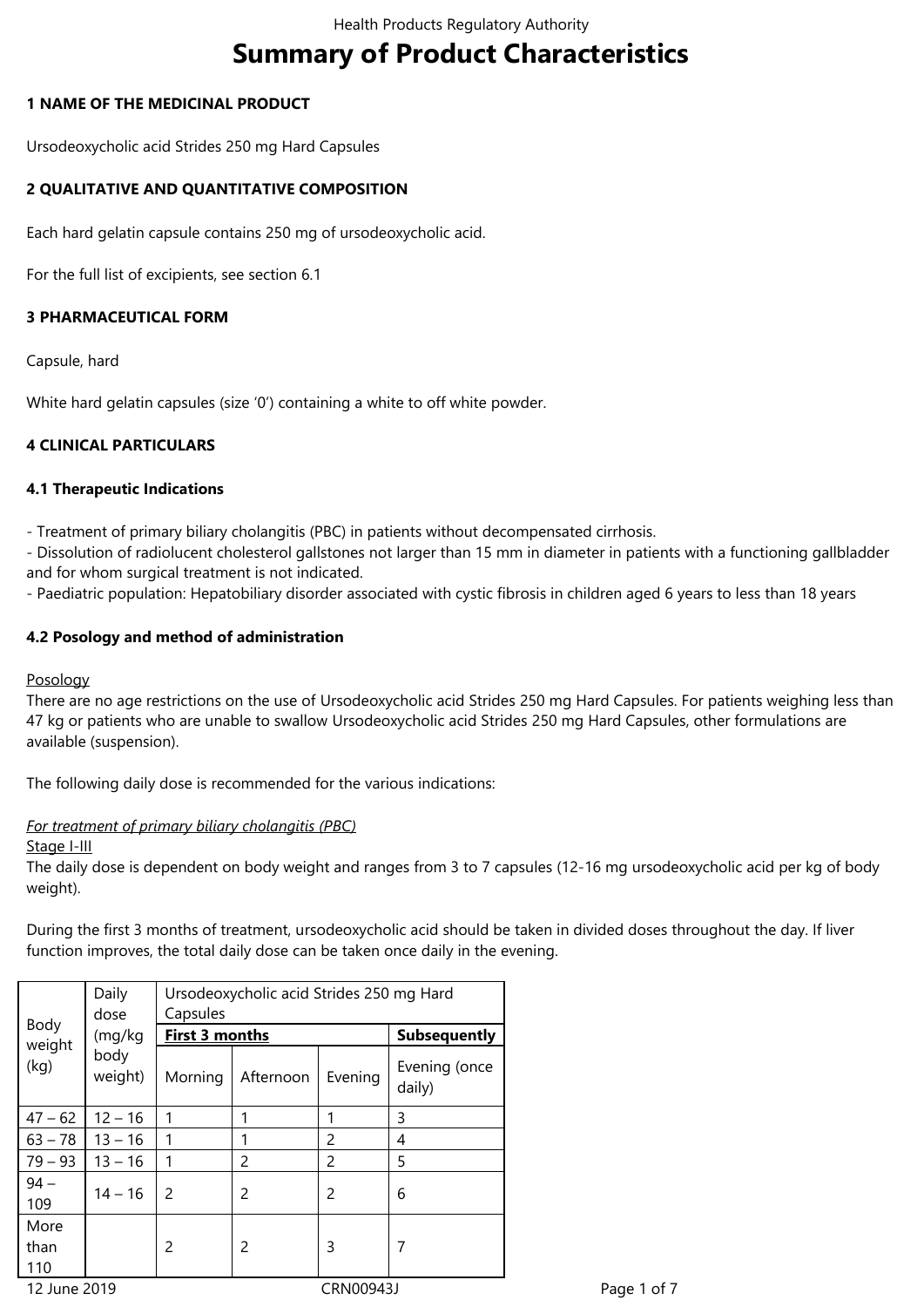# **Summary of Product Characteristics**

# **1 NAME OF THE MEDICINAL PRODUCT**

Ursodeoxycholic acid Strides 250 mg Hard Capsules

# **2 QUALITATIVE AND QUANTITATIVE COMPOSITION**

Each hard gelatin capsule contains 250 mg of ursodeoxycholic acid.

For the full list of excipients, see section 6.1

# **3 PHARMACEUTICAL FORM**

Capsule, hard

White hard gelatin capsules (size '0') containing a white to off white powder.

# **4 CLINICAL PARTICULARS**

# **4.1 Therapeutic Indications**

- Treatment of primary biliary cholangitis (PBC) in patients without decompensated cirrhosis.

- Dissolution of radiolucent cholesterol gallstones not larger than 15 mm in diameter in patients with a functioning gallbladder and for whom surgical treatment is not indicated.

- Paediatric population: Hepatobiliary disorder associated with cystic fibrosis in children aged 6 years to less than 18 years

# **4.2 Posology and method of administration**

### Posology

There are no age restrictions on the use of Ursodeoxycholic acid Strides 250 mg Hard Capsules. For patients weighing less than 47 kg or patients who are unable to swallow Ursodeoxycholic acid Strides 250 mg Hard Capsules, other formulations are available (suspension).

The following daily dose is recommended for the various indications:

### *For treatment of primary biliary cholangitis (PBC)*

### Stage I-III

The daily dose is dependent on body weight and ranges from 3 to 7 capsules (12-16 mg ursodeoxycholic acid per kg of body weight).

During the first 3 months of treatment, ursodeoxycholic acid should be taken in divided doses throughout the day. If liver function improves, the total daily dose can be taken once daily in the evening.

| Body<br>weight<br>(kg) | Daily                     | Ursodeoxycholic acid Strides 250 mg Hard |           |                |                         |
|------------------------|---------------------------|------------------------------------------|-----------|----------------|-------------------------|
|                        | dose                      | Capsules                                 |           |                |                         |
|                        | (mg/kg<br>body<br>weight) | <b>First 3 months</b>                    |           |                | <b>Subsequently</b>     |
|                        |                           | Morning                                  | Afternoon | Evening        | Evening (once<br>daily) |
| $47 - 62$              | $12 - 16$                 |                                          | 1         |                | 3                       |
| $63 - 78$              | $13 - 16$                 |                                          |           | 2              | 4                       |
| $79 - 93$              | $13 - 16$                 |                                          | 2         | 2              | 5                       |
| $94 -$<br>109          | $14 - 16$                 | 2                                        | 2         | $\overline{c}$ | 6                       |
| More<br>than<br>110    |                           | 2                                        | 2         | 3              | 7                       |
| 12 June 2019           |                           | CRN00943J                                |           |                |                         |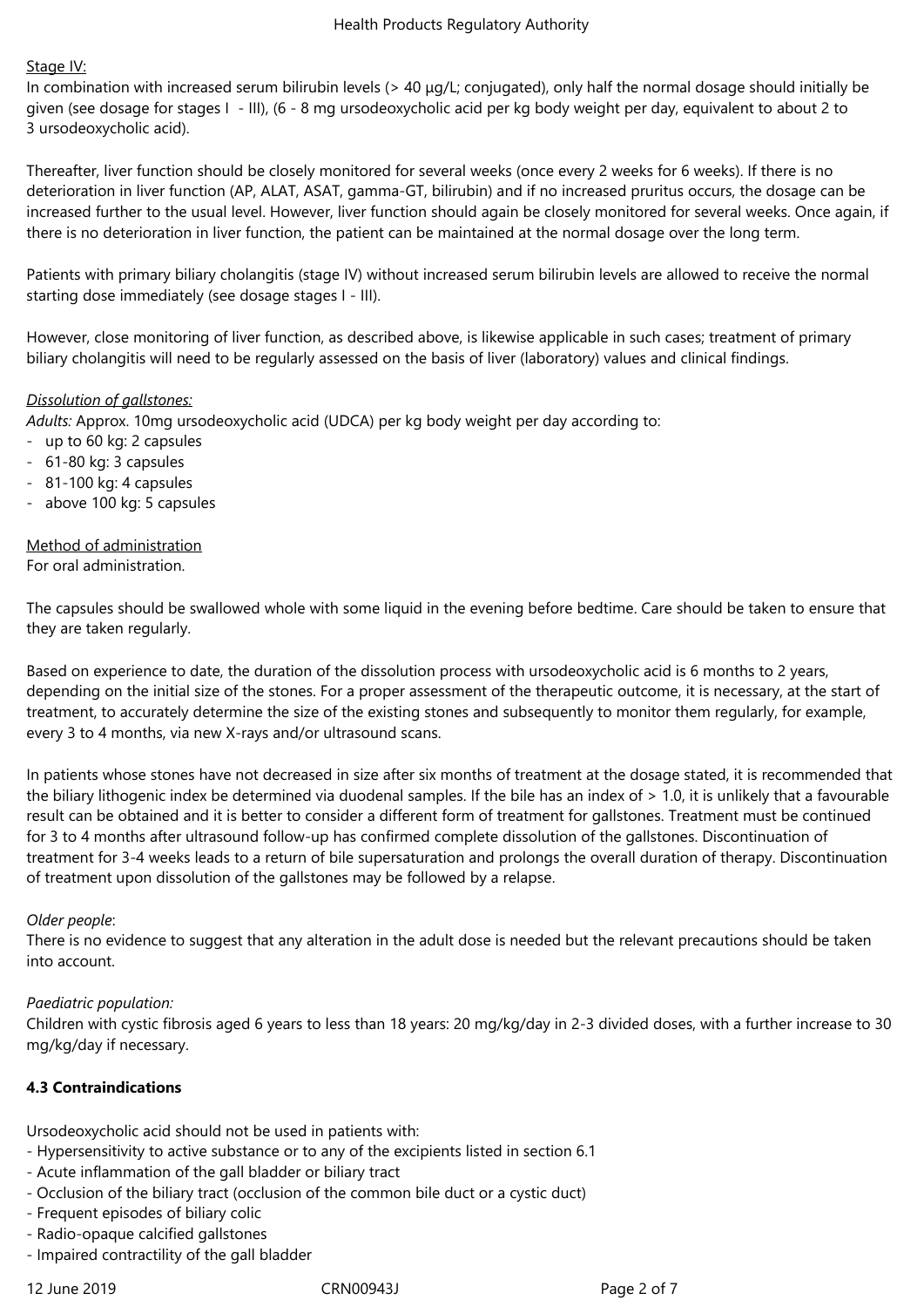# Stage IV:

In combination with increased serum bilirubin levels (> 40 μg/L; conjugated), only half the normal dosage should initially be given (see dosage for stages I - III), (6 - 8 mg ursodeoxycholic acid per kg body weight per day, equivalent to about 2 to 3 ursodeoxycholic acid).

Thereafter, liver function should be closely monitored for several weeks (once every 2 weeks for 6 weeks). If there is no deterioration in liver function (AP, ALAT, ASAT, gamma-GT, bilirubin) and if no increased pruritus occurs, the dosage can be increased further to the usual level. However, liver function should again be closely monitored for several weeks. Once again, if there is no deterioration in liver function, the patient can be maintained at the normal dosage over the long term.

Patients with primary biliary cholangitis (stage IV) without increased serum bilirubin levels are allowed to receive the normal starting dose immediately (see dosage stages I - III).

However, close monitoring of liver function, as described above, is likewise applicable in such cases; treatment of primary biliary cholangitis will need to be regularly assessed on the basis of liver (laboratory) values and clinical findings.

# *Dissolution of gallstones:*

*Adults:* Approx. 10mg ursodeoxycholic acid (UDCA) per kg body weight per day according to:

- up to 60 kg: 2 capsules
- 61-80 kg: 3 capsules
- 81-100 kg: 4 capsules
- above 100 kg: 5 capsules

#### Method of administration For oral administration.

The capsules should be swallowed whole with some liquid in the evening before bedtime. Care should be taken to ensure that they are taken regularly.

Based on experience to date, the duration of the dissolution process with ursodeoxycholic acid is 6 months to 2 years, depending on the initial size of the stones. For a proper assessment of the therapeutic outcome, it is necessary, at the start of treatment, to accurately determine the size of the existing stones and subsequently to monitor them regularly, for example, every 3 to 4 months, via new X-rays and/or ultrasound scans.

In patients whose stones have not decreased in size after six months of treatment at the dosage stated, it is recommended that the biliary lithogenic index be determined via duodenal samples. If the bile has an index of > 1.0, it is unlikely that a favourable result can be obtained and it is better to consider a different form of treatment for gallstones. Treatment must be continued for 3 to 4 months after ultrasound follow-up has confirmed complete dissolution of the gallstones. Discontinuation of treatment for 3-4 weeks leads to a return of bile supersaturation and prolongs the overall duration of therapy. Discontinuation of treatment upon dissolution of the gallstones may be followed by a relapse.

### *Older people*:

There is no evidence to suggest that any alteration in the adult dose is needed but the relevant precautions should be taken into account.

### *Paediatric population:*

Children with cystic fibrosis aged 6 years to less than 18 years: 20 mg/kg/day in 2-3 divided doses, with a further increase to 30 mg/kg/day if necessary.

# **4.3 Contraindications**

Ursodeoxycholic acid should not be used in patients with:

- Hypersensitivity to active substance or to any of the excipients listed in section 6.1
- Acute inflammation of the gall bladder or biliary tract
- Occlusion of the biliary tract (occlusion of the common bile duct or a cystic duct)
- Frequent episodes of biliary colic
- Radio-opaque calcified gallstones
- Impaired contractility of the gall bladder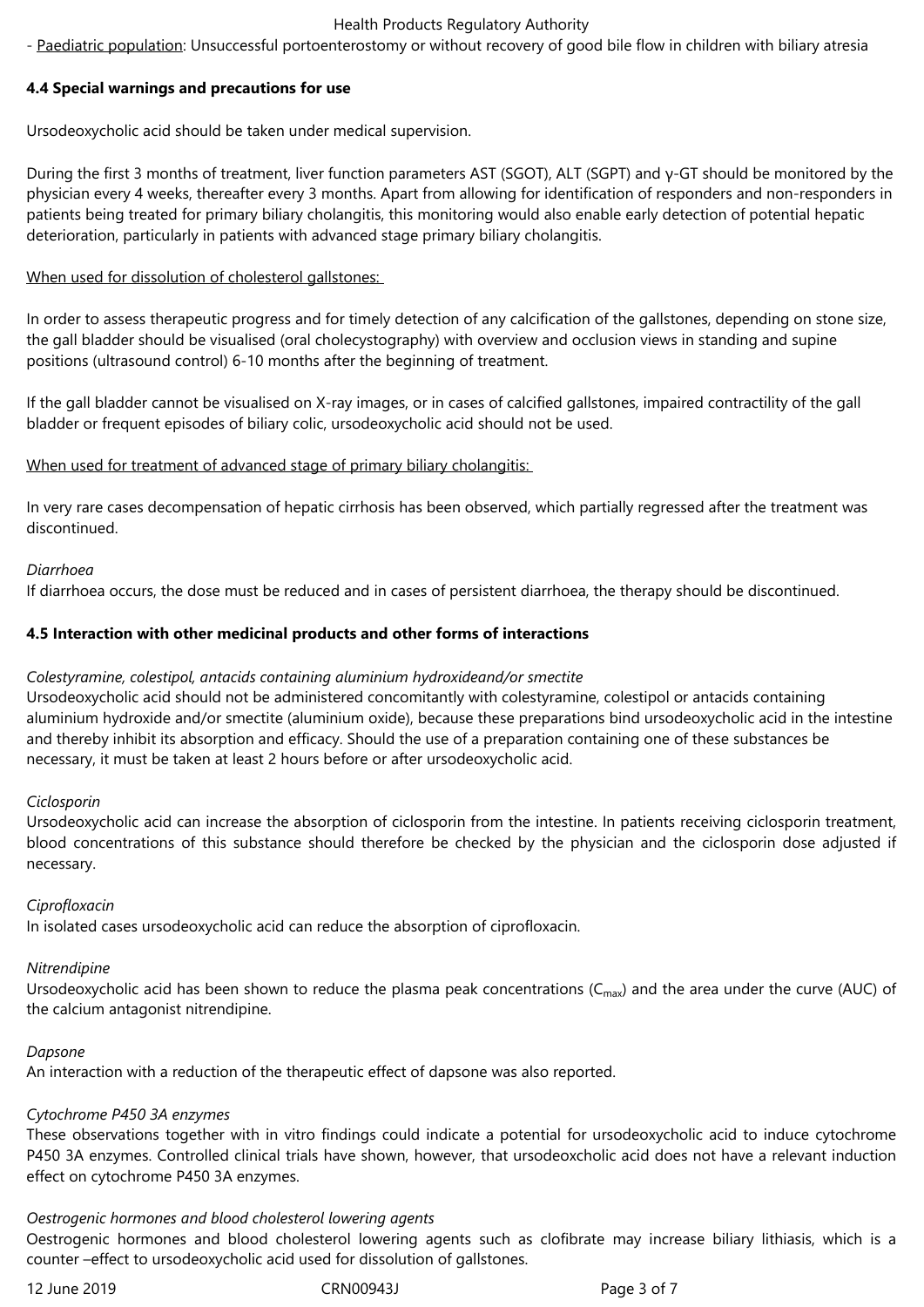#### Health Products Regulatory Authority

- Paediatric population: Unsuccessful portoenterostomy or without recovery of good bile flow in children with biliary atresia

# **4.4 Special warnings and precautions for use**

Ursodeoxycholic acid should be taken under medical supervision.

During the first 3 months of treatment, liver function parameters AST (SGOT), ALT (SGPT) and γ-GT should be monitored by the physician every 4 weeks, thereafter every 3 months. Apart from allowing for identification of responders and non-responders in patients being treated for primary biliary cholangitis, this monitoring would also enable early detection of potential hepatic deterioration, particularly in patients with advanced stage primary biliary cholangitis.

# When used for dissolution of cholesterol gallstones:

In order to assess therapeutic progress and for timely detection of any calcification of the gallstones, depending on stone size, the gall bladder should be visualised (oral cholecystography) with overview and occlusion views in standing and supine positions (ultrasound control) 6-10 months after the beginning of treatment.

If the gall bladder cannot be visualised on X-ray images, or in cases of calcified gallstones, impaired contractility of the gall bladder or frequent episodes of biliary colic, ursodeoxycholic acid should not be used.

# When used for treatment of advanced stage of primary biliary cholangitis:

In very rare cases decompensation of hepatic cirrhosis has been observed, which partially regressed after the treatment was discontinued.

# *Diarrhoea*

If diarrhoea occurs, the dose must be reduced and in cases of persistent diarrhoea, the therapy should be discontinued.

# **4.5 Interaction with other medicinal products and other forms of interactions**

### *Colestyramine, colestipol, antacids containing aluminium hydroxideand/or smectite*

Ursodeoxycholic acid should not be administered concomitantly with colestyramine, colestipol or antacids containing aluminium hydroxide and/or smectite (aluminium oxide), because these preparations bind ursodeoxycholic acid in the intestine and thereby inhibit its absorption and efficacy. Should the use of a preparation containing one of these substances be necessary, it must be taken at least 2 hours before or after ursodeoxycholic acid.

### *Ciclosporin*

Ursodeoxycholic acid can increase the absorption of ciclosporin from the intestine. In patients receiving ciclosporin treatment, blood concentrations of this substance should therefore be checked by the physician and the ciclosporin dose adjusted if necessary.

### *Ciprofloxacin*

In isolated cases ursodeoxycholic acid can reduce the absorption of ciprofloxacin.

### *Nitrendipine*

Ursodeoxycholic acid has been shown to reduce the plasma peak concentrations ( $C_{\text{max}}$ ) and the area under the curve (AUC) of the calcium antagonist nitrendipine.

### *Dapsone*

An interaction with a reduction of the therapeutic effect of dapsone was also reported.

# *Cytochrome P450 3A enzymes*

These observations together with in vitro findings could indicate a potential for ursodeoxycholic acid to induce cytochrome P450 3A enzymes. Controlled clinical trials have shown, however, that ursodeoxcholic acid does not have a relevant induction effect on cytochrome P450 3A enzymes.

### *Oestrogenic hormones and blood cholesterol lowering agents*

Oestrogenic hormones and blood cholesterol lowering agents such as clofibrate may increase biliary lithiasis, which is a counter –effect to ursodeoxycholic acid used for dissolution of gallstones.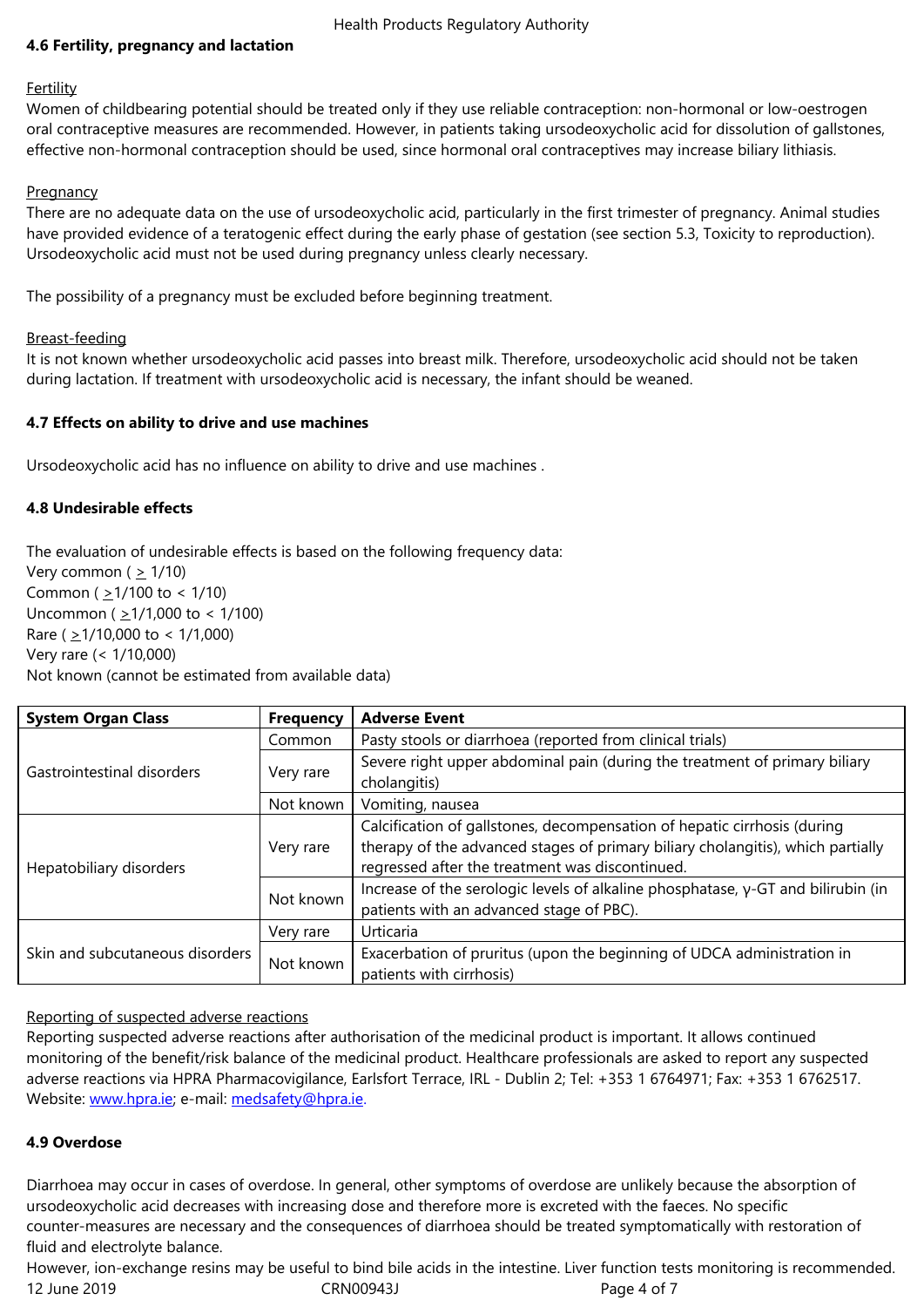#### **Fertility**

Women of childbearing potential should be treated only if they use reliable contraception: non-hormonal or low-oestrogen oral contraceptive measures are recommended. However, in patients taking ursodeoxycholic acid for dissolution of gallstones, effective non-hormonal contraception should be used, since hormonal oral contraceptives may increase biliary lithiasis.

# **Pregnancy**

There are no adequate data on the use of ursodeoxycholic acid, particularly in the first trimester of pregnancy. Animal studies have provided evidence of a teratogenic effect during the early phase of gestation (see section 5.3, Toxicity to reproduction). Ursodeoxycholic acid must not be used during pregnancy unless clearly necessary.

The possibility of a pregnancy must be excluded before beginning treatment.

# Breast-feeding

It is not known whether ursodeoxycholic acid passes into breast milk. Therefore, ursodeoxycholic acid should not be taken during lactation. If treatment with ursodeoxycholic acid is necessary, the infant should be weaned.

# **4.7 Effects on ability to drive and use machines**

Ursodeoxycholic acid has no influence on ability to drive and use machines .

# **4.8 Undesirable effects**

The evaluation of undesirable effects is based on the following frequency data: Very common ( $\geq$  1/10) Common ( $\geq$ 1/100 to < 1/10) Uncommon ( $\geq$ 1/1,000 to < 1/100) Rare ( $\geq$ 1/10,000 to < 1/1,000) Very rare (< 1/10,000) Not known (cannot be estimated from available data)

| <b>System Organ Class</b>       | <b>Frequency</b>              | <b>Adverse Event</b>                                                                                                                                                                                           |  |  |
|---------------------------------|-------------------------------|----------------------------------------------------------------------------------------------------------------------------------------------------------------------------------------------------------------|--|--|
|                                 | Common                        | Pasty stools or diarrhoea (reported from clinical trials)                                                                                                                                                      |  |  |
| Gastrointestinal disorders      | Very rare                     | Severe right upper abdominal pain (during the treatment of primary biliary<br>cholangitis)                                                                                                                     |  |  |
|                                 | Not known<br>Vomiting, nausea |                                                                                                                                                                                                                |  |  |
| Hepatobiliary disorders         | Very rare                     | Calcification of gallstones, decompensation of hepatic cirrhosis (during<br>therapy of the advanced stages of primary biliary cholangitis), which partially<br>regressed after the treatment was discontinued. |  |  |
|                                 | Not known                     | Increase of the serologic levels of alkaline phosphatase, $y$ -GT and bilirubin (in<br>patients with an advanced stage of PBC).                                                                                |  |  |
|                                 | Very rare                     | Urticaria                                                                                                                                                                                                      |  |  |
| Skin and subcutaneous disorders | Not known                     | Exacerbation of pruritus (upon the beginning of UDCA administration in<br>patients with cirrhosis)                                                                                                             |  |  |

# Reporting of suspected adverse reactions

Reporting suspected adverse reactions after authorisation of the medicinal product is important. It allows continued monitoring of the benefit/risk balance of the medicinal product. Healthcare professionals are asked to report any suspected adverse reactions via HPRA Pharmacovigilance, Earlsfort Terrace, IRL - Dublin 2; Tel: +353 1 6764971; Fax: +353 1 6762517. Website: www.hpra.ie; e-mail: medsafety@hpra.ie.

# **4.9 Overdose**

Diarrhoe[a may occur i](http://www.hpra.ie/)n cases [of overdose. In gene](mailto:medsafety@hpra.ie)ral, other symptoms of overdose are unlikely because the absorption of ursodeoxycholic acid decreases with increasing dose and therefore more is excreted with the faeces. No specific counter-measures are necessary and the consequences of diarrhoea should be treated symptomatically with restoration of fluid and electrolyte balance.

12 June 2019 CRN00943J Page 4 of 7 However, ion-exchange resins may be useful to bind bile acids in the intestine. Liver function tests monitoring is recommended.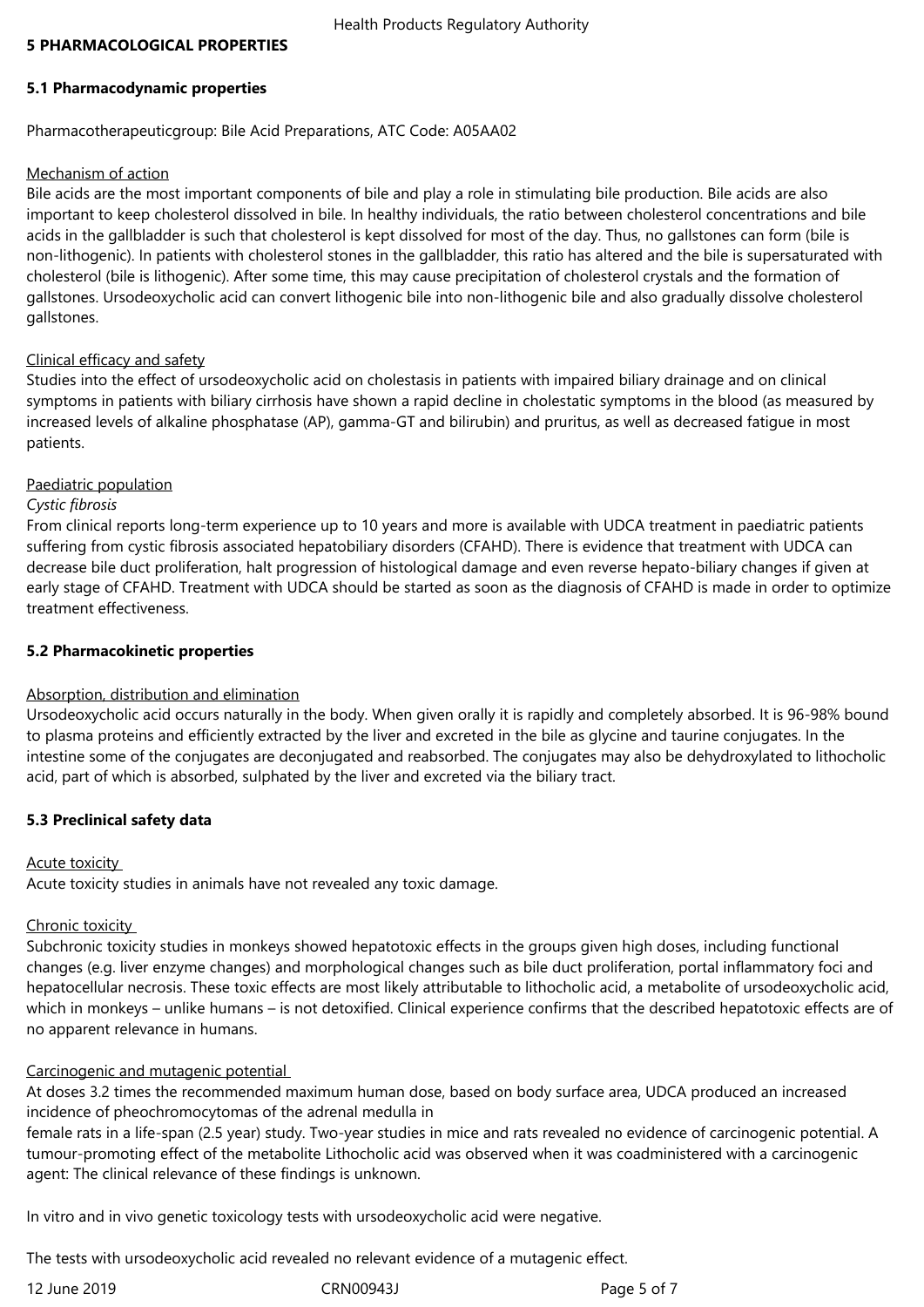### **5 PHARMACOLOGICAL PROPERTIES**

#### **5.1 Pharmacodynamic properties**

Pharmacotherapeuticgroup: Bile Acid Preparations, ATC Code: A05AA02

#### Mechanism of action

Bile acids are the most important components of bile and play a role in stimulating bile production. Bile acids are also important to keep cholesterol dissolved in bile. In healthy individuals, the ratio between cholesterol concentrations and bile acids in the gallbladder is such that cholesterol is kept dissolved for most of the day. Thus, no gallstones can form (bile is non-lithogenic). In patients with cholesterol stones in the gallbladder, this ratio has altered and the bile is supersaturated with cholesterol (bile is lithogenic). After some time, this may cause precipitation of cholesterol crystals and the formation of gallstones. Ursodeoxycholic acid can convert lithogenic bile into non-lithogenic bile and also gradually dissolve cholesterol gallstones.

### Clinical efficacy and safety

Studies into the effect of ursodeoxycholic acid on cholestasis in patients with impaired biliary drainage and on clinical symptoms in patients with biliary cirrhosis have shown a rapid decline in cholestatic symptoms in the blood (as measured by increased levels of alkaline phosphatase (AP), gamma-GT and bilirubin) and pruritus, as well as decreased fatigue in most patients.

#### Paediatric population

#### *Cystic fibrosis*

From clinical reports long-term experience up to 10 years and more is available with UDCA treatment in paediatric patients suffering from cystic fibrosis associated hepatobiliary disorders (CFAHD). There is evidence that treatment with UDCA can decrease bile duct proliferation, halt progression of histological damage and even reverse hepato-biliary changes if given at early stage of CFAHD. Treatment with UDCA should be started as soon as the diagnosis of CFAHD is made in order to optimize treatment effectiveness.

#### **5.2 Pharmacokinetic properties**

### Absorption, distribution and elimination

Ursodeoxycholic acid occurs naturally in the body. When given orally it is rapidly and completely absorbed. It is 96-98% bound to plasma proteins and efficiently extracted by the liver and excreted in the bile as glycine and taurine conjugates. In the intestine some of the conjugates are deconjugated and reabsorbed. The conjugates may also be dehydroxylated to lithocholic acid, part of which is absorbed, sulphated by the liver and excreted via the biliary tract.

### **5.3 Preclinical safety data**

#### Acute toxicity

Acute toxicity studies in animals have not revealed any toxic damage.

### Chronic toxicity

Subchronic toxicity studies in monkeys showed hepatotoxic effects in the groups given high doses, including functional changes (e.g. liver enzyme changes) and morphological changes such as bile duct proliferation, portal inflammatory foci and hepatocellular necrosis. These toxic effects are most likely attributable to lithocholic acid, a metabolite of ursodeoxycholic acid, which in monkeys – unlike humans – is not detoxified. Clinical experience confirms that the described hepatotoxic effects are of no apparent relevance in humans.

### Carcinogenic and mutagenic potential

At doses 3.2 times the recommended maximum human dose, based on body surface area, UDCA produced an increased incidence of pheochromocytomas of the adrenal medulla in

female rats in a life-span (2.5 year) study. Two-year studies in mice and rats revealed no evidence of carcinogenic potential. A tumour-promoting effect of the metabolite Lithocholic acid was observed when it was coadministered with a carcinogenic agent: The clinical relevance of these findings is unknown.

In vitro and in vivo genetic toxicology tests with ursodeoxycholic acid were negative.

The tests with ursodeoxycholic acid revealed no relevant evidence of a mutagenic effect.

12 June 2019 CRN00943J Page 5 of 7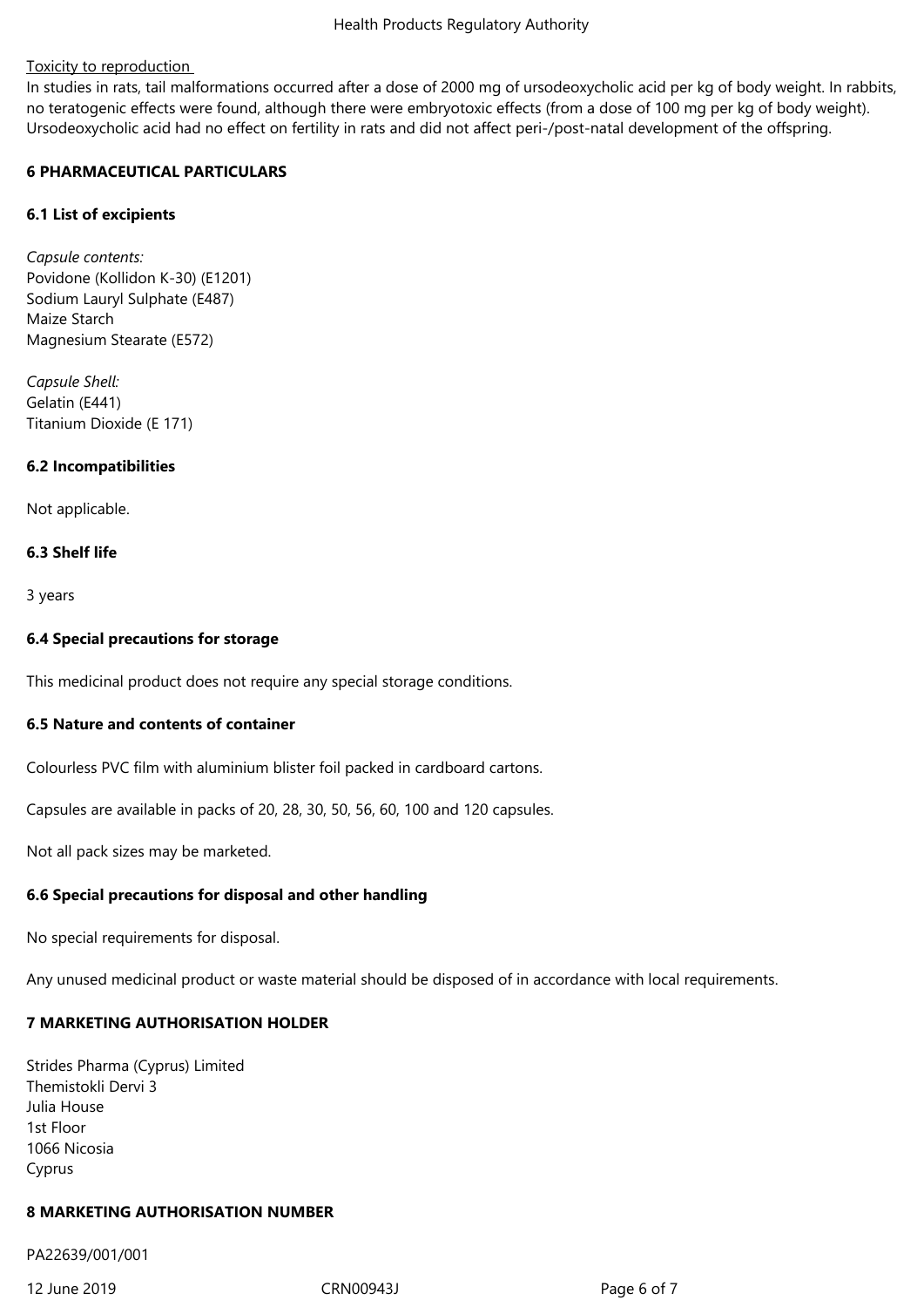# Toxicity to reproduction

In studies in rats, tail malformations occurred after a dose of 2000 mg of ursodeoxycholic acid per kg of body weight. In rabbits, no teratogenic effects were found, although there were embryotoxic effects (from a dose of 100 mg per kg of body weight). Ursodeoxycholic acid had no effect on fertility in rats and did not affect peri-/post-natal development of the offspring.

# **6 PHARMACEUTICAL PARTICULARS**

# **6.1 List of excipients**

*Capsule contents:* Povidone (Kollidon K-30) (E1201) Sodium Lauryl Sulphate (E487) Maize Starch Magnesium Stearate (E572)

*Capsule Shell:* Gelatin (E441) Titanium Dioxide (E 171)

# **6.2 Incompatibilities**

Not applicable.

# **6.3 Shelf life**

3 years

# **6.4 Special precautions for storage**

This medicinal product does not require any special storage conditions.

# **6.5 Nature and contents of container**

Colourless PVC film with aluminium blister foil packed in cardboard cartons.

Capsules are available in packs of 20, 28, 30, 50, 56, 60, 100 and 120 capsules.

Not all pack sizes may be marketed.

# **6.6 Special precautions for disposal and other handling**

No special requirements for disposal.

Any unused medicinal product or waste material should be disposed of in accordance with local requirements.

# **7 MARKETING AUTHORISATION HOLDER**

Strides Pharma (Cyprus) Limited Themistokli Dervi 3 Julia House 1st Floor 1066 Nicosia Cyprus

### **8 MARKETING AUTHORISATION NUMBER**

PA22639/001/001

12 June 2019 CRN00943J Page 6 of 7